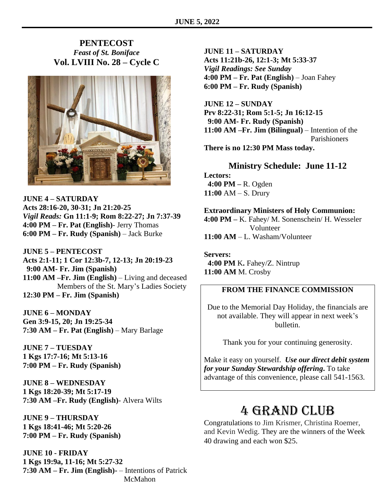### **PENTECOST** *Feast of St. Boniface* **Vol. LVIII No. 28 – Cycle C**



**JUNE 4 – SATURDAY Acts 28:16-20, 30-31; Jn 21:20-25** *Vigil Reads:* **Gn 11:1-9; Rom 8:22-27; Jn 7:37-39 4:00 PM – Fr. Pat (English)**- Jerry Thomas **6:00 PM – Fr. Rudy (Spanish)** – Jack Burke

**JUNE 5 – PENTECOST Acts 2:1-11; 1 Cor 12:3b-7, 12-13; Jn 20:19-23 9:00 AM- Fr. Jim (Spanish) 11:00 AM –Fr. Jim (English)** – Living and deceased Members of the St. Mary's Ladies Society **12:30 PM – Fr. Jim (Spanish)**

**JUNE 6 – MONDAY Gen 3:9-15, 20; Jn 19:25-34 7:30 AM – Fr. Pat (English)** – Mary Barlage

**JUNE 7 – TUESDAY 1 Kgs 17:7-16; Mt 5:13-16 7:00 PM – Fr. Rudy (Spanish)**

**JUNE 8 – WEDNESDAY 1 Kgs 18:20-39; Mt 5:17-19 7:30 AM –Fr. Rudy (English)**- Alvera Wilts

**JUNE 9 – THURSDAY 1 Kgs 18:41-46; Mt 5:20-26 7:00 PM – Fr. Rudy (Spanish)**

**JUNE 10 - FRIDAY 1 Kgs 19:9a, 11-16; Mt 5:27-32 7:30 AM – Fr. Jim (English)-** – Intentions of Patrick McMahon

**JUNE 11 – SATURDAY Acts 11:21b-26, 12:1-3; Mt 5:33-37** *Vigil Readings: See Sunday* **4:00 PM – Fr. Pat (English)** – Joan Fahey **6:00 PM – Fr. Rudy (Spanish)**

**JUNE 12 – SUNDAY Prv 8:22-31; Rom 5:1-5; Jn 16:12-15 9:00 AM- Fr. Rudy (Spanish) 11:00 AM –Fr. Jim (Bilingual)** – Intention of the Parishioners **There is no 12:30 PM Mass today.**

**Ministry Schedule: June 11-12**

**Lectors: 4:00 PM –** R. Ogden **11:00** AM – S. Drury

#### **Extraordinary Ministers of Holy Communion:**

**4:00 PM –** K. Fahey/ M. Sonenschein/ H. Wesseler Volunteer **11:00 AM** – L. Washam/Volunteer

**Servers: 4:00 PM** K**.** Fahey/Z. Nintrup **11:00 AM** M. Crosby

#### **FROM THE FINANCE COMMISSION**

Due to the Memorial Day Holiday, the financials are not available. They will appear in next week's bulletin.

Thank you for your continuing generosity.

Make it easy on yourself. *Use our direct debit system for your Sunday Stewardship offering***.** To take advantage of this convenience, please call 541-1563.

## 4 Grand Club

Congratulations to Jim Krismer, Christina Roemer, and Kevin Wedig. They are the winners of the Week 40 drawing and each won \$25.